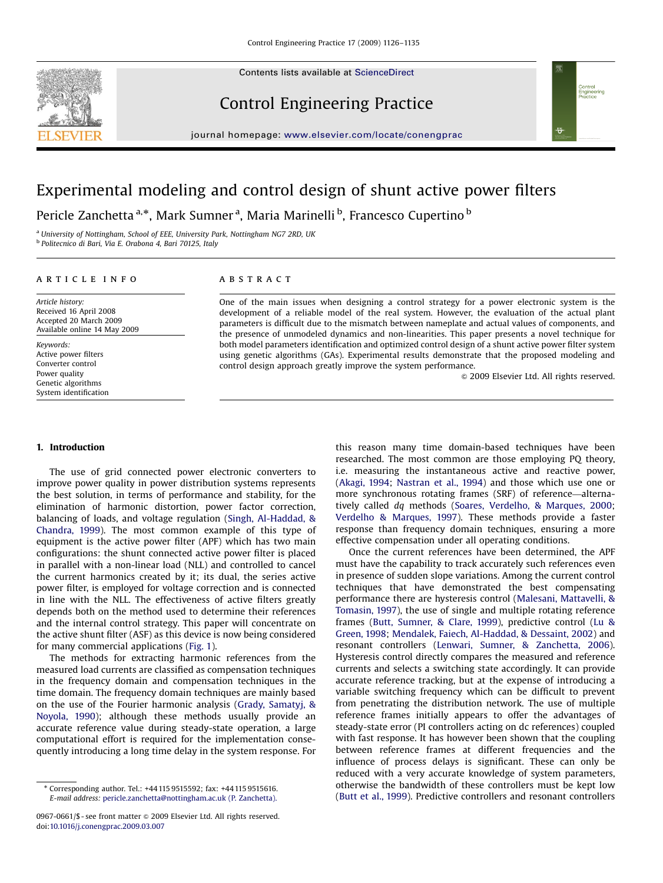Contents lists available at [ScienceDirect](www.sciencedirect.com/science/journal/conpra)





Control Engineering Practice

journal homepage: <www.elsevier.com/locate/conengprac>

## Experimental modeling and control design of shunt active power filters

Pericle Zanchetta <sup>a,\*</sup>, Mark Sumner <sup>a</sup>, Maria Marinelli <sup>b</sup>, Francesco Cupertino <sup>b</sup>

<sup>a</sup> University of Nottingham, School of EEE, University Park, Nottingham NG7 2RD, UK

<sup>b</sup> Politecnico di Bari, Via E. Orabona 4, Bari 70125, Italy

#### article info

Article history: Received 16 April 2008 Accepted 20 March 2009 Available online 14 May 2009

Keywords: Active power filters Converter control Power quality Genetic algorithms System identification

#### ABSTRACT

One of the main issues when designing a control strategy for a power electronic system is the development of a reliable model of the real system. However, the evaluation of the actual plant parameters is difficult due to the mismatch between nameplate and actual values of components, and the presence of unmodeled dynamics and non-linearities. This paper presents a novel technique for both model parameters identification and optimized control design of a shunt active power filter system using genetic algorithms (GAs). Experimental results demonstrate that the proposed modeling and control design approach greatly improve the system performance.

 $© 2009$  Elsevier Ltd. All rights reserved.

### 1. Introduction

The use of grid connected power electronic converters to improve power quality in power distribution systems represents the best solution, in terms of performance and stability, for the elimination of harmonic distortion, power factor correction, balancing of loads, and voltage regulation ([Singh, Al-Haddad, &](#page--1-0) [Chandra, 1999](#page--1-0)). The most common example of this type of equipment is the active power filter (APF) which has two main configurations: the shunt connected active power filter is placed in parallel with a non-linear load (NLL) and controlled to cancel the current harmonics created by it; its dual, the series active power filter, is employed for voltage correction and is connected in line with the NLL. The effectiveness of active filters greatly depends both on the method used to determine their references and the internal control strategy. This paper will concentrate on the active shunt filter (ASF) as this device is now being considered for many commercial applications [\(Fig. 1](#page-1-0)).

The methods for extracting harmonic references from the measured load currents are classified as compensation techniques in the frequency domain and compensation techniques in the time domain. The frequency domain techniques are mainly based on the use of the Fourier harmonic analysis ([Grady, Samatyj, &](#page--1-0) [Noyola, 1990\)](#page--1-0); although these methods usually provide an accurate reference value during steady-state operation, a large computational effort is required for the implementation consequently introducing a long time delay in the system response. For this reason many time domain-based techniques have been researched. The most common are those employing PQ theory, i.e. measuring the instantaneous active and reactive power, ([Akagi, 1994;](#page--1-0) [Nastran et al., 1994\)](#page--1-0) and those which use one or more synchronous rotating frames (SRF) of reference—alternatively called dq methods ([Soares, Verdelho, & Marques, 2000;](#page--1-0) [Verdelho & Marques, 1997\)](#page--1-0). These methods provide a faster response than frequency domain techniques, ensuring a more effective compensation under all operating conditions.

Once the current references have been determined, the APF must have the capability to track accurately such references even in presence of sudden slope variations. Among the current control techniques that have demonstrated the best compensating performance there are hysteresis control [\(Malesani, Mattavelli, &](#page--1-0) [Tomasin, 1997\)](#page--1-0), the use of single and multiple rotating reference frames [\(Butt, Sumner,](#page--1-0) & [Clare, 1999](#page--1-0)), predictive control [\(Lu &](#page--1-0) [Green, 1998](#page--1-0); [Mendalek, Faiech, Al-Haddad,](#page--1-0) [& Dessaint, 2002](#page--1-0)) and resonant controllers ([Lenwari, Sumner,](#page--1-0) [& Zanchetta, 2006\)](#page--1-0). Hysteresis control directly compares the measured and reference currents and selects a switching state accordingly. It can provide accurate reference tracking, but at the expense of introducing a variable switching frequency which can be difficult to prevent from penetrating the distribution network. The use of multiple reference frames initially appears to offer the advantages of steady-state error (PI controllers acting on dc references) coupled with fast response. It has however been shown that the coupling between reference frames at different frequencies and the influence of process delays is significant. These can only be reduced with a very accurate knowledge of system parameters, otherwise the bandwidth of these controllers must be kept low ([Butt et al., 1999\)](#page--1-0). Predictive controllers and resonant controllers

<sup>-</sup> Corresponding author. Tel.: +44115 9515592; fax: +44 115 9515616. E-mail address: [pericle.zanchetta@nottingham.ac.uk \(P. Zanchetta\).](mailto:pericle.zanchetta@nottingham.ac.uk)

<sup>0967-0661/\$ -</sup> see front matter @ 2009 Elsevier Ltd. All rights reserved. doi:[10.1016/j.conengprac.2009.03.007](dx.doi.org/10.1016/j.conengprac.2009.03.007)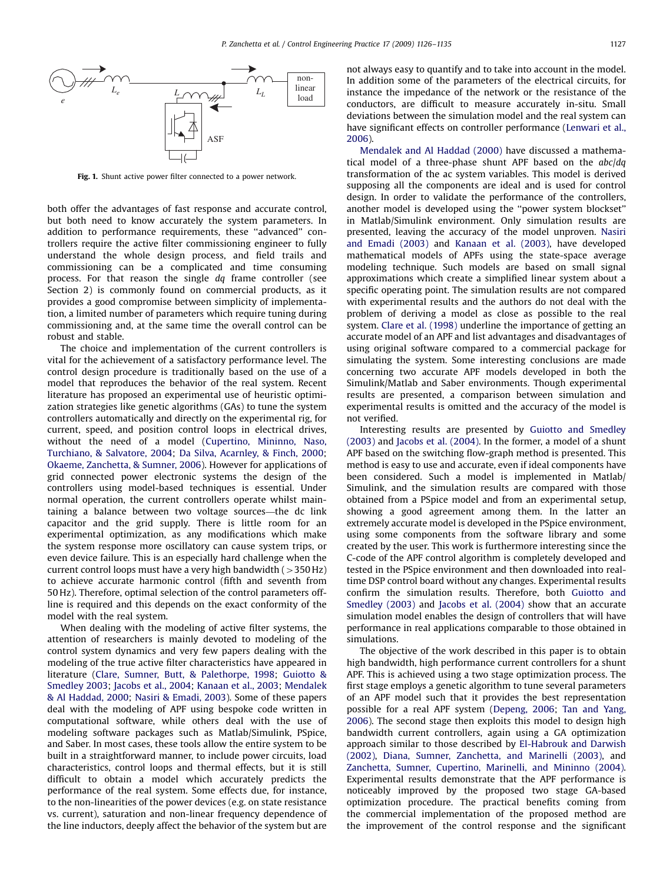<span id="page-1-0"></span>

Fig. 1. Shunt active power filter connected to a power network.

both offer the advantages of fast response and accurate control, but both need to know accurately the system parameters. In addition to performance requirements, these ''advanced'' controllers require the active filter commissioning engineer to fully understand the whole design process, and field trails and commissioning can be a complicated and time consuming process. For that reason the single dq frame controller (see Section 2) is commonly found on commercial products, as it provides a good compromise between simplicity of implementation, a limited number of parameters which require tuning during commissioning and, at the same time the overall control can be robust and stable.

The choice and implementation of the current controllers is vital for the achievement of a satisfactory performance level. The control design procedure is traditionally based on the use of a model that reproduces the behavior of the real system. Recent literature has proposed an experimental use of heuristic optimization strategies like genetic algorithms (GAs) to tune the system controllers automatically and directly on the experimental rig, for current, speed, and position control loops in electrical drives, without the need of a model ([Cupertino, Mininno, Naso,](#page--1-0) [Turchiano,](#page--1-0) & [Salvatore, 2004;](#page--1-0) [Da Silva, Acarnley,](#page--1-0) & [Finch, 2000;](#page--1-0) [Okaeme, Zanchetta, & Sumner, 2006\)](#page--1-0). However for applications of grid connected power electronic systems the design of the controllers using model-based techniques is essential. Under normal operation, the current controllers operate whilst maintaining a balance between two voltage sources—the dc link capacitor and the grid supply. There is little room for an experimental optimization, as any modifications which make the system response more oscillatory can cause system trips, or even device failure. This is an especially hard challenge when the current control loops must have a very high bandwidth ( $>$ 350 Hz) to achieve accurate harmonic control (fifth and seventh from 50 Hz). Therefore, optimal selection of the control parameters offline is required and this depends on the exact conformity of the model with the real system.

When dealing with the modeling of active filter systems, the attention of researchers is mainly devoted to modeling of the control system dynamics and very few papers dealing with the modeling of the true active filter characteristics have appeared in literature ([Clare, Sumner, Butt, & Palethorpe, 1998;](#page--1-0) [Guiotto &](#page--1-0) [Smedley 2003;](#page--1-0) [Jacobs et al., 2004;](#page--1-0) [Kanaan et al., 2003](#page--1-0); [Mendalek](#page--1-0) [& Al Haddad, 2000;](#page--1-0) [Nasiri](#page--1-0) [& Emadi, 2003](#page--1-0)). Some of these papers deal with the modeling of APF using bespoke code written in computational software, while others deal with the use of modeling software packages such as Matlab/Simulink, PSpice, and Saber. In most cases, these tools allow the entire system to be built in a straightforward manner, to include power circuits, load characteristics, control loops and thermal effects, but it is still difficult to obtain a model which accurately predicts the performance of the real system. Some effects due, for instance, to the non-linearities of the power devices (e.g. on state resistance vs. current), saturation and non-linear frequency dependence of the line inductors, deeply affect the behavior of the system but are

not always easy to quantify and to take into account in the model. In addition some of the parameters of the electrical circuits, for instance the impedance of the network or the resistance of the conductors, are difficult to measure accurately in-situ. Small deviations between the simulation model and the real system can have significant effects on controller performance ([Lenwari et al.,](#page--1-0) [2006\)](#page--1-0).

[Mendalek and Al Haddad \(2000\)](#page--1-0) have discussed a mathematical model of a three-phase shunt APF based on the abc/dq transformation of the ac system variables. This model is derived supposing all the components are ideal and is used for control design. In order to validate the performance of the controllers, another model is developed using the ''power system blockset'' in Matlab/Simulink environment. Only simulation results are presented, leaving the accuracy of the model unproven. [Nasiri](#page--1-0) [and Emadi \(2003\)](#page--1-0) and [Kanaan et al. \(2003\),](#page--1-0) have developed mathematical models of APFs using the state-space average modeling technique. Such models are based on small signal approximations which create a simplified linear system about a specific operating point. The simulation results are not compared with experimental results and the authors do not deal with the problem of deriving a model as close as possible to the real system. [Clare et al. \(1998\)](#page--1-0) underline the importance of getting an accurate model of an APF and list advantages and disadvantages of using original software compared to a commercial package for simulating the system. Some interesting conclusions are made concerning two accurate APF models developed in both the Simulink/Matlab and Saber environments. Though experimental results are presented, a comparison between simulation and experimental results is omitted and the accuracy of the model is not verified.

Interesting results are presented by [Guiotto and Smedley](#page--1-0) [\(2003\)](#page--1-0) and [Jacobs et al. \(2004\)](#page--1-0). In the former, a model of a shunt APF based on the switching flow-graph method is presented. This method is easy to use and accurate, even if ideal components have been considered. Such a model is implemented in Matlab/ Simulink, and the simulation results are compared with those obtained from a PSpice model and from an experimental setup, showing a good agreement among them. In the latter an extremely accurate model is developed in the PSpice environment, using some components from the software library and some created by the user. This work is furthermore interesting since the C-code of the APF control algorithm is completely developed and tested in the PSpice environment and then downloaded into realtime DSP control board without any changes. Experimental results confirm the simulation results. Therefore, both [Guiotto and](#page--1-0) [Smedley \(2003\)](#page--1-0) and [Jacobs et al. \(2004\)](#page--1-0) show that an accurate simulation model enables the design of controllers that will have performance in real applications comparable to those obtained in simulations.

The objective of the work described in this paper is to obtain high bandwidth, high performance current controllers for a shunt APF. This is achieved using a two stage optimization process. The first stage employs a genetic algorithm to tune several parameters of an APF model such that it provides the best representation possible for a real APF system [\(Depeng, 2006](#page--1-0); [Tan and Yang,](#page--1-0) [2006\)](#page--1-0). The second stage then exploits this model to design high bandwidth current controllers, again using a GA optimization approach similar to those described by [El-Habrouk and Darwish](#page--1-0) [\(2002\)](#page--1-0), [Diana, Sumner, Zanchetta, and Marinelli \(2003\),](#page--1-0) and [Zanchetta, Sumner, Cupertino, Marinelli, and Mininno \(2004\).](#page--1-0) Experimental results demonstrate that the APF performance is noticeably improved by the proposed two stage GA-based optimization procedure. The practical benefits coming from the commercial implementation of the proposed method are the improvement of the control response and the significant